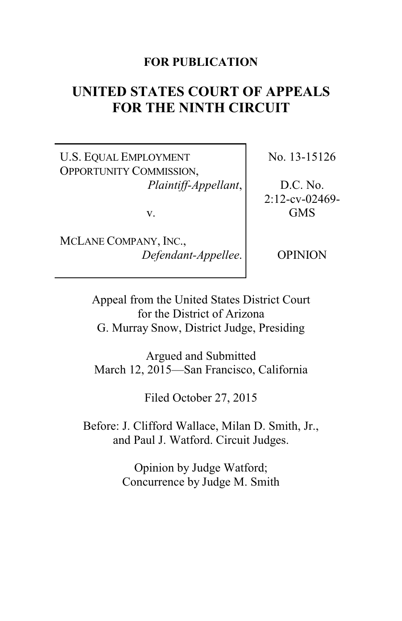# **FOR PUBLICATION**

# **UNITED STATES COURT OF APPEALS FOR THE NINTH CIRCUIT**

U.S. EQUAL EMPLOYMENT OPPORTUNITY COMMISSION, *Plaintiff-Appellant*,

v.

MCLANE COMPANY, INC., *Defendant-Appellee*. No. 13-15126

D.C. No. 2:12-cv-02469- GMS

OPINION

Appeal from the United States District Court for the District of Arizona G. Murray Snow, District Judge, Presiding

Argued and Submitted March 12, 2015—San Francisco, California

Filed October 27, 2015

Before: J. Clifford Wallace, Milan D. Smith, Jr., and Paul J. Watford. Circuit Judges.

> Opinion by Judge Watford; Concurrence by Judge M. Smith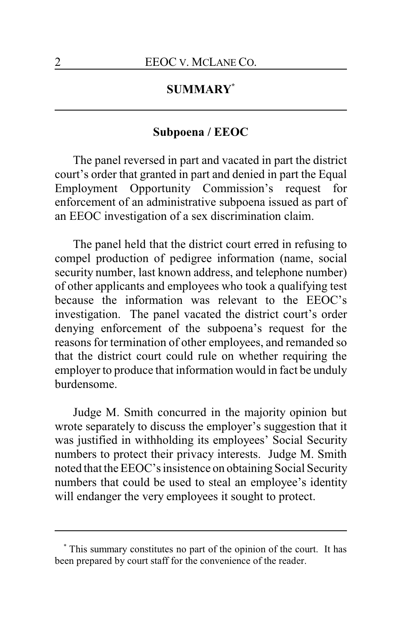# **SUMMARY\***

# **Subpoena / EEOC**

The panel reversed in part and vacated in part the district court's order that granted in part and denied in part the Equal Employment Opportunity Commission's request for enforcement of an administrative subpoena issued as part of an EEOC investigation of a sex discrimination claim.

The panel held that the district court erred in refusing to compel production of pedigree information (name, social security number, last known address, and telephone number) of other applicants and employees who took a qualifying test because the information was relevant to the EEOC's investigation. The panel vacated the district court's order denying enforcement of the subpoena's request for the reasons for termination of other employees, and remanded so that the district court could rule on whether requiring the employer to produce that information would in fact be unduly burdensome.

Judge M. Smith concurred in the majority opinion but wrote separately to discuss the employer's suggestion that it was justified in withholding its employees' Social Security numbers to protect their privacy interests. Judge M. Smith noted that the EEOC's insistence on obtaining Social Security numbers that could be used to steal an employee's identity will endanger the very employees it sought to protect.

<sup>\*</sup> This summary constitutes no part of the opinion of the court. It has been prepared by court staff for the convenience of the reader.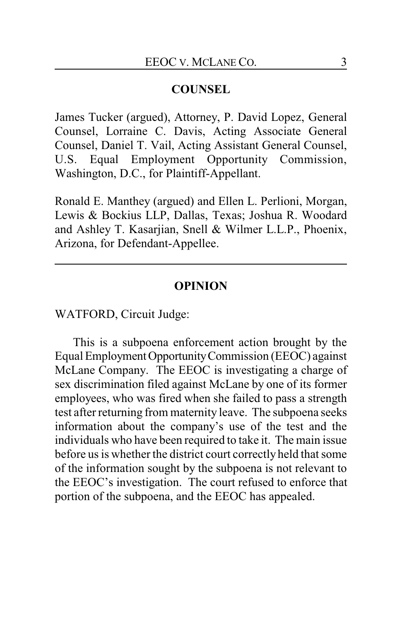### **COUNSEL**

James Tucker (argued), Attorney, P. David Lopez, General Counsel, Lorraine C. Davis, Acting Associate General Counsel, Daniel T. Vail, Acting Assistant General Counsel, U.S. Equal Employment Opportunity Commission, Washington, D.C., for Plaintiff-Appellant.

Ronald E. Manthey (argued) and Ellen L. Perlioni, Morgan, Lewis & Bockius LLP, Dallas, Texas; Joshua R. Woodard and Ashley T. Kasarjian, Snell & Wilmer L.L.P., Phoenix, Arizona, for Defendant-Appellee.

#### **OPINION**

WATFORD, Circuit Judge:

This is a subpoena enforcement action brought by the Equal EmploymentOpportunityCommission (EEOC) against McLane Company. The EEOC is investigating a charge of sex discrimination filed against McLane by one of its former employees, who was fired when she failed to pass a strength test after returning from maternity leave. The subpoena seeks information about the company's use of the test and the individuals who have been required to take it. The main issue before us is whether the district court correctly held that some of the information sought by the subpoena is not relevant to the EEOC's investigation. The court refused to enforce that portion of the subpoena, and the EEOC has appealed.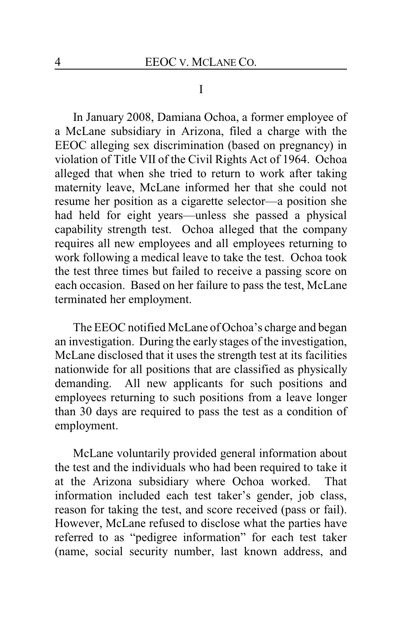#### I

In January 2008, Damiana Ochoa, a former employee of a McLane subsidiary in Arizona, filed a charge with the EEOC alleging sex discrimination (based on pregnancy) in violation of Title VII of the Civil Rights Act of 1964. Ochoa alleged that when she tried to return to work after taking maternity leave, McLane informed her that she could not resume her position as a cigarette selector—a position she had held for eight years—unless she passed a physical capability strength test. Ochoa alleged that the company requires all new employees and all employees returning to work following a medical leave to take the test. Ochoa took the test three times but failed to receive a passing score on each occasion. Based on her failure to pass the test, McLane terminated her employment.

The EEOC notified McLane of Ochoa's charge and began an investigation. During the early stages of the investigation, McLane disclosed that it uses the strength test at its facilities nationwide for all positions that are classified as physically demanding. All new applicants for such positions and employees returning to such positions from a leave longer than 30 days are required to pass the test as a condition of employment.

McLane voluntarily provided general information about the test and the individuals who had been required to take it at the Arizona subsidiary where Ochoa worked. That information included each test taker's gender, job class, reason for taking the test, and score received (pass or fail). However, McLane refused to disclose what the parties have referred to as "pedigree information" for each test taker (name, social security number, last known address, and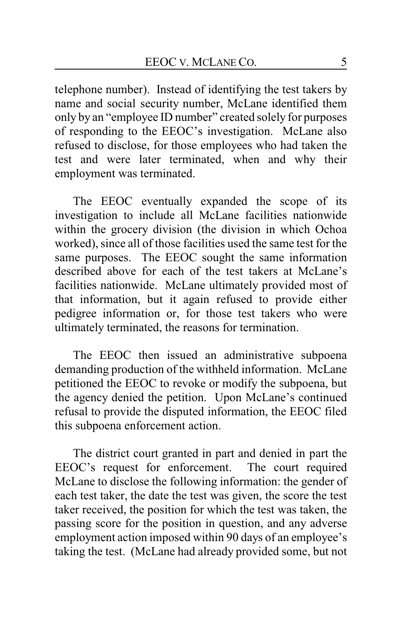telephone number). Instead of identifying the test takers by name and social security number, McLane identified them only by an "employee ID number" created solely for purposes of responding to the EEOC's investigation. McLane also refused to disclose, for those employees who had taken the test and were later terminated, when and why their employment was terminated.

The EEOC eventually expanded the scope of its investigation to include all McLane facilities nationwide within the grocery division (the division in which Ochoa worked), since all of those facilities used the same test for the same purposes. The EEOC sought the same information described above for each of the test takers at McLane's facilities nationwide. McLane ultimately provided most of that information, but it again refused to provide either pedigree information or, for those test takers who were ultimately terminated, the reasons for termination.

The EEOC then issued an administrative subpoena demanding production of the withheld information. McLane petitioned the EEOC to revoke or modify the subpoena, but the agency denied the petition. Upon McLane's continued refusal to provide the disputed information, the EEOC filed this subpoena enforcement action.

The district court granted in part and denied in part the EEOC's request for enforcement. The court required McLane to disclose the following information: the gender of each test taker, the date the test was given, the score the test taker received, the position for which the test was taken, the passing score for the position in question, and any adverse employment action imposed within 90 days of an employee's taking the test. (McLane had already provided some, but not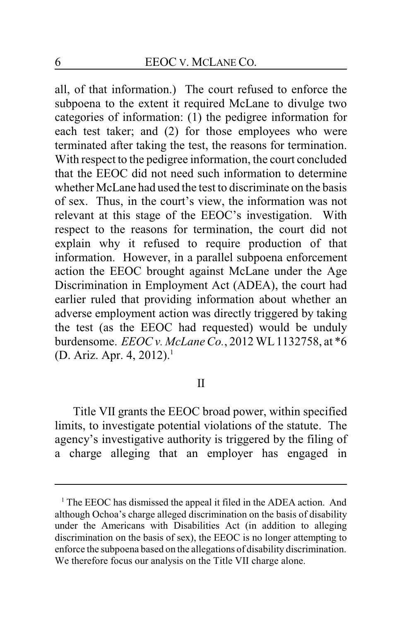all, of that information.) The court refused to enforce the subpoena to the extent it required McLane to divulge two categories of information: (1) the pedigree information for each test taker; and (2) for those employees who were terminated after taking the test, the reasons for termination. With respect to the pedigree information, the court concluded that the EEOC did not need such information to determine whether McLane had used the test to discriminate on the basis of sex. Thus, in the court's view, the information was not relevant at this stage of the EEOC's investigation. With respect to the reasons for termination, the court did not explain why it refused to require production of that information. However, in a parallel subpoena enforcement action the EEOC brought against McLane under the Age Discrimination in Employment Act (ADEA), the court had earlier ruled that providing information about whether an adverse employment action was directly triggered by taking the test (as the EEOC had requested) would be unduly burdensome. *EEOC v. McLane Co.*, 2012 WL 1132758, at \*6 (D. Ariz. Apr. 4, 2012).<sup>1</sup>

II

Title VII grants the EEOC broad power, within specified limits, to investigate potential violations of the statute. The agency's investigative authority is triggered by the filing of a charge alleging that an employer has engaged in

<sup>&</sup>lt;sup>1</sup> The EEOC has dismissed the appeal it filed in the ADEA action. And although Ochoa's charge alleged discrimination on the basis of disability under the Americans with Disabilities Act (in addition to alleging discrimination on the basis of sex), the EEOC is no longer attempting to enforce the subpoena based on the allegations of disability discrimination. We therefore focus our analysis on the Title VII charge alone.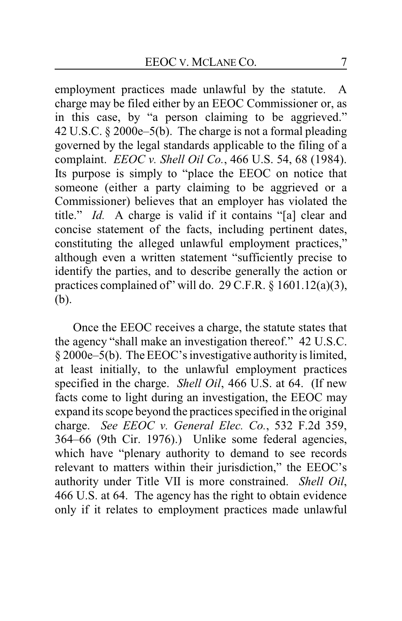employment practices made unlawful by the statute. A charge may be filed either by an EEOC Commissioner or, as in this case, by "a person claiming to be aggrieved." 42 U.S.C. § 2000e–5(b). The charge is not a formal pleading governed by the legal standards applicable to the filing of a complaint. *EEOC v. Shell Oil Co.*, 466 U.S. 54, 68 (1984). Its purpose is simply to "place the EEOC on notice that someone (either a party claiming to be aggrieved or a Commissioner) believes that an employer has violated the title." *Id.* A charge is valid if it contains "[a] clear and concise statement of the facts, including pertinent dates, constituting the alleged unlawful employment practices," although even a written statement "sufficiently precise to identify the parties, and to describe generally the action or practices complained of" will do. 29 C.F.R. § 1601.12(a)(3), (b).

Once the EEOC receives a charge, the statute states that the agency "shall make an investigation thereof." 42 U.S.C. § 2000e–5(b). The EEOC's investigative authority is limited, at least initially, to the unlawful employment practices specified in the charge. *Shell Oil*, 466 U.S. at 64. (If new facts come to light during an investigation, the EEOC may expand its scope beyond the practices specified in the original charge. *See EEOC v. General Elec. Co.*, 532 F.2d 359, 364–66 (9th Cir. 1976).) Unlike some federal agencies, which have "plenary authority to demand to see records relevant to matters within their jurisdiction," the EEOC's authority under Title VII is more constrained. *Shell Oil*, 466 U.S. at 64. The agency has the right to obtain evidence only if it relates to employment practices made unlawful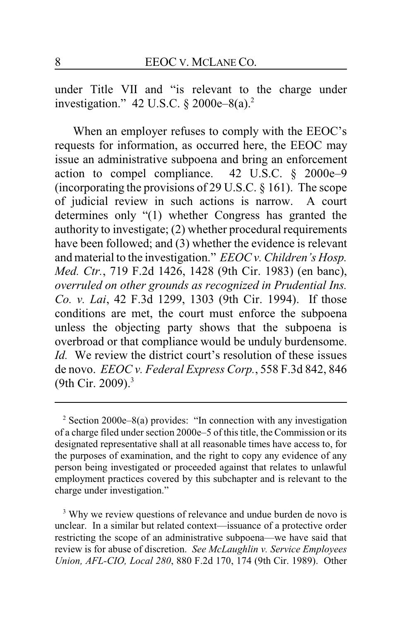under Title VII and "is relevant to the charge under investigation." 42 U.S.C.  $\S 2000e-8(a)^2$ 

When an employer refuses to comply with the EEOC's requests for information, as occurred here, the EEOC may issue an administrative subpoena and bring an enforcement action to compel compliance. 42 U.S.C. § 2000e–9 (incorporating the provisions of 29 U.S.C. § 161). The scope of judicial review in such actions is narrow. A court determines only "(1) whether Congress has granted the authority to investigate; (2) whether procedural requirements have been followed; and (3) whether the evidence is relevant and material to the investigation." *EEOC v. Children's Hosp. Med. Ctr.*, 719 F.2d 1426, 1428 (9th Cir. 1983) (en banc), *overruled on other grounds as recognized in Prudential Ins. Co. v. Lai*, 42 F.3d 1299, 1303 (9th Cir. 1994). If those conditions are met, the court must enforce the subpoena unless the objecting party shows that the subpoena is overbroad or that compliance would be unduly burdensome. *Id.* We review the district court's resolution of these issues de novo. *EEOC v. Federal Express Corp.*, 558 F.3d 842, 846 (9th Cir. 2009). $3$ 

 $2$  Section 2000e–8(a) provides: "In connection with any investigation of a charge filed under section 2000e–5 of this title, the Commission or its designated representative shall at all reasonable times have access to, for the purposes of examination, and the right to copy any evidence of any person being investigated or proceeded against that relates to unlawful employment practices covered by this subchapter and is relevant to the charge under investigation."

<sup>3</sup> Why we review questions of relevance and undue burden de novo is unclear. In a similar but related context—issuance of a protective order restricting the scope of an administrative subpoena—we have said that review is for abuse of discretion. *See McLaughlin v. Service Employees Union, AFL-CIO, Local 280*, 880 F.2d 170, 174 (9th Cir. 1989). Other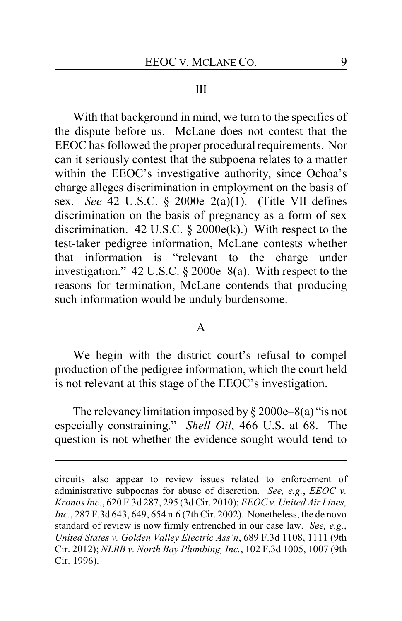#### III

With that background in mind, we turn to the specifics of the dispute before us. McLane does not contest that the EEOC has followed the proper procedural requirements. Nor can it seriously contest that the subpoena relates to a matter within the EEOC's investigative authority, since Ochoa's charge alleges discrimination in employment on the basis of sex. *See* 42 U.S.C. § 2000e–2(a)(1). (Title VII defines discrimination on the basis of pregnancy as a form of sex discrimination. 42 U.S.C.  $\S$  2000 $e(k)$ .) With respect to the test-taker pedigree information, McLane contests whether that information is "relevant to the charge under investigation." 42 U.S.C. § 2000e–8(a). With respect to the reasons for termination, McLane contends that producing such information would be unduly burdensome.

#### A

We begin with the district court's refusal to compel production of the pedigree information, which the court held is not relevant at this stage of the EEOC's investigation.

The relevancy limitation imposed by  $\S 2000e-8(a)$  "is not especially constraining." *Shell Oil*, 466 U.S. at 68. The question is not whether the evidence sought would tend to

circuits also appear to review issues related to enforcement of administrative subpoenas for abuse of discretion. *See, e.g.*, *EEOC v. Kronos Inc.*, 620 F.3d 287, 295 (3d Cir. 2010); *EEOC v. United Air Lines, Inc.*, 287 F.3d 643, 649, 654 n.6 (7th Cir. 2002). Nonetheless, the de novo standard of review is now firmly entrenched in our case law. *See, e.g.*, *United States v. Golden Valley Electric Ass'n*, 689 F.3d 1108, 1111 (9th Cir. 2012); *NLRB v. North Bay Plumbing, Inc.*, 102 F.3d 1005, 1007 (9th Cir. 1996).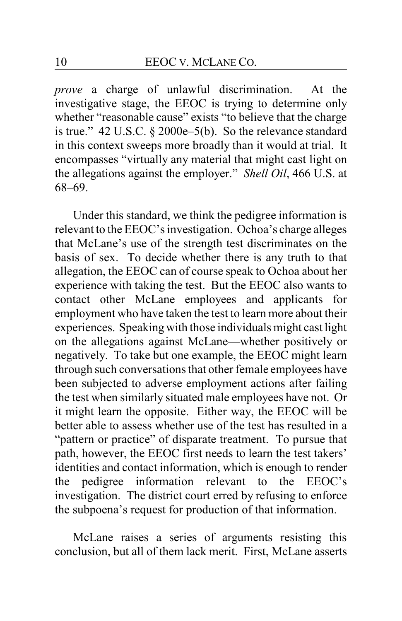*prove* a charge of unlawful discrimination. At the investigative stage, the EEOC is trying to determine only whether "reasonable cause" exists "to believe that the charge is true." 42 U.S.C. § 2000e–5(b). So the relevance standard in this context sweeps more broadly than it would at trial. It encompasses "virtually any material that might cast light on the allegations against the employer." *Shell Oil*, 466 U.S. at 68–69.

Under this standard, we think the pedigree information is relevant to the EEOC's investigation. Ochoa's charge alleges that McLane's use of the strength test discriminates on the basis of sex. To decide whether there is any truth to that allegation, the EEOC can of course speak to Ochoa about her experience with taking the test. But the EEOC also wants to contact other McLane employees and applicants for employment who have taken the test to learn more about their experiences. Speaking with those individuals might cast light on the allegations against McLane—whether positively or negatively. To take but one example, the EEOC might learn through such conversations that other female employees have been subjected to adverse employment actions after failing the test when similarly situated male employees have not. Or it might learn the opposite. Either way, the EEOC will be better able to assess whether use of the test has resulted in a "pattern or practice" of disparate treatment. To pursue that path, however, the EEOC first needs to learn the test takers' identities and contact information, which is enough to render the pedigree information relevant to the EEOC's investigation. The district court erred by refusing to enforce the subpoena's request for production of that information.

McLane raises a series of arguments resisting this conclusion, but all of them lack merit. First, McLane asserts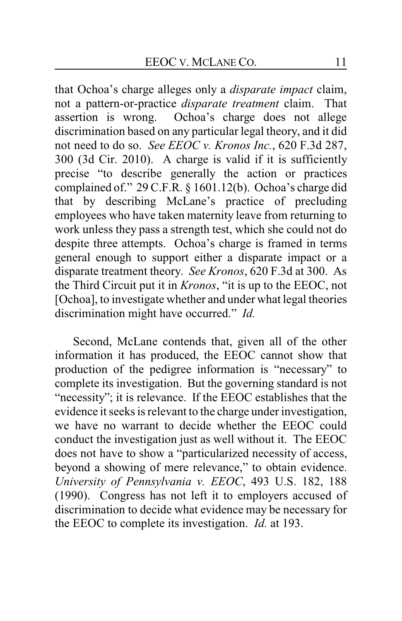that Ochoa's charge alleges only a *disparate impact* claim, not a pattern-or-practice *disparate treatment* claim. That assertion is wrong. Ochoa's charge does not allege discrimination based on any particular legal theory, and it did not need to do so. *See EEOC v. Kronos Inc.*, 620 F.3d 287, 300 (3d Cir. 2010). A charge is valid if it is sufficiently precise "to describe generally the action or practices complained of." 29 C.F.R. § 1601.12(b). Ochoa's charge did that by describing McLane's practice of precluding employees who have taken maternity leave from returning to work unless they pass a strength test, which she could not do despite three attempts. Ochoa's charge is framed in terms general enough to support either a disparate impact or a disparate treatment theory. *See Kronos*, 620 F.3d at 300. As the Third Circuit put it in *Kronos*, "it is up to the EEOC, not [Ochoa], to investigate whether and under what legal theories discrimination might have occurred." *Id.*

Second, McLane contends that, given all of the other information it has produced, the EEOC cannot show that production of the pedigree information is "necessary" to complete its investigation. But the governing standard is not "necessity"; it is relevance. If the EEOC establishes that the evidence it seeks is relevant to the charge under investigation, we have no warrant to decide whether the EEOC could conduct the investigation just as well without it. The EEOC does not have to show a "particularized necessity of access, beyond a showing of mere relevance," to obtain evidence. *University of Pennsylvania v. EEOC*, 493 U.S. 182, 188 (1990). Congress has not left it to employers accused of discrimination to decide what evidence may be necessary for the EEOC to complete its investigation. *Id.* at 193.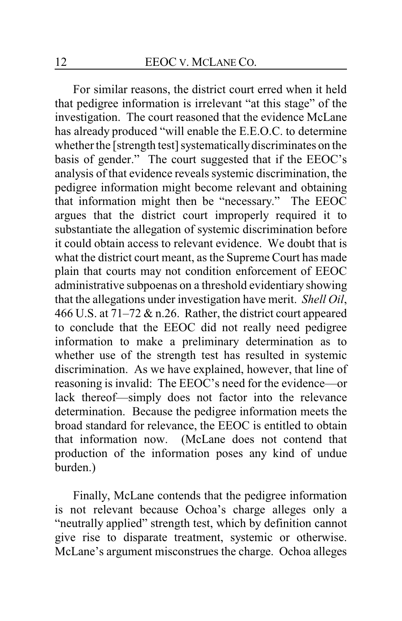For similar reasons, the district court erred when it held that pedigree information is irrelevant "at this stage" of the investigation. The court reasoned that the evidence McLane has already produced "will enable the E.E.O.C. to determine whether the [strength test] systematically discriminates on the basis of gender." The court suggested that if the EEOC's analysis of that evidence reveals systemic discrimination, the pedigree information might become relevant and obtaining that information might then be "necessary." The EEOC argues that the district court improperly required it to substantiate the allegation of systemic discrimination before it could obtain access to relevant evidence. We doubt that is what the district court meant, as the Supreme Court has made plain that courts may not condition enforcement of EEOC administrative subpoenas on a threshold evidentiary showing that the allegations under investigation have merit. *Shell Oil*, 466 U.S. at 71–72 & n.26. Rather, the district court appeared to conclude that the EEOC did not really need pedigree information to make a preliminary determination as to whether use of the strength test has resulted in systemic discrimination. As we have explained, however, that line of reasoning is invalid: The EEOC's need for the evidence—or lack thereof—simply does not factor into the relevance determination. Because the pedigree information meets the broad standard for relevance, the EEOC is entitled to obtain that information now. (McLane does not contend that production of the information poses any kind of undue burden.)

Finally, McLane contends that the pedigree information is not relevant because Ochoa's charge alleges only a "neutrally applied" strength test, which by definition cannot give rise to disparate treatment, systemic or otherwise. McLane's argument misconstrues the charge. Ochoa alleges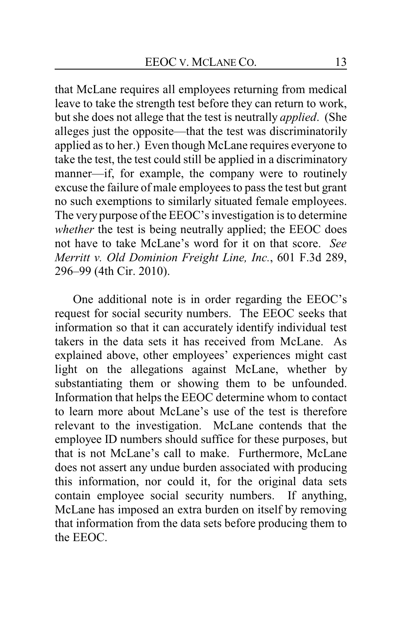that McLane requires all employees returning from medical leave to take the strength test before they can return to work, but she does not allege that the test is neutrally *applied*. (She alleges just the opposite—that the test was discriminatorily applied as to her.) Even though McLane requires everyone to take the test, the test could still be applied in a discriminatory manner—if, for example, the company were to routinely excuse the failure of male employees to pass the test but grant no such exemptions to similarly situated female employees. The very purpose of the EEOC's investigation is to determine *whether* the test is being neutrally applied; the EEOC does not have to take McLane's word for it on that score. *See Merritt v. Old Dominion Freight Line, Inc.*, 601 F.3d 289, 296–99 (4th Cir. 2010).

One additional note is in order regarding the EEOC's request for social security numbers. The EEOC seeks that information so that it can accurately identify individual test takers in the data sets it has received from McLane. As explained above, other employees' experiences might cast light on the allegations against McLane, whether by substantiating them or showing them to be unfounded. Information that helps the EEOC determine whom to contact to learn more about McLane's use of the test is therefore relevant to the investigation. McLane contends that the employee ID numbers should suffice for these purposes, but that is not McLane's call to make. Furthermore, McLane does not assert any undue burden associated with producing this information, nor could it, for the original data sets contain employee social security numbers. If anything, McLane has imposed an extra burden on itself by removing that information from the data sets before producing them to the EEOC.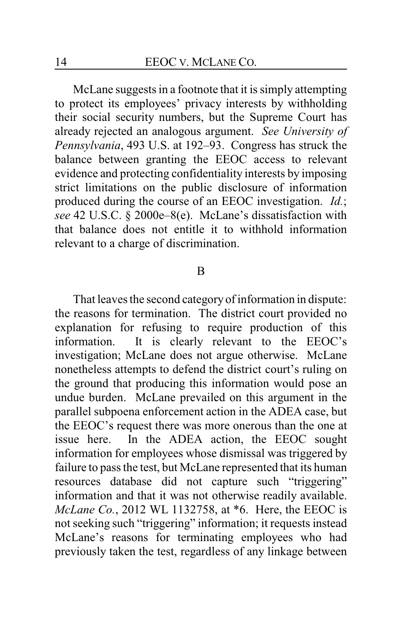McLane suggests in a footnote that it is simply attempting to protect its employees' privacy interests by withholding their social security numbers, but the Supreme Court has already rejected an analogous argument. *See University of Pennsylvania*, 493 U.S. at 192–93. Congress has struck the balance between granting the EEOC access to relevant evidence and protecting confidentiality interests by imposing strict limitations on the public disclosure of information produced during the course of an EEOC investigation. *Id.*; *see* 42 U.S.C. § 2000e–8(e). McLane's dissatisfaction with that balance does not entitle it to withhold information relevant to a charge of discrimination.

#### B

That leaves the second category of information in dispute: the reasons for termination. The district court provided no explanation for refusing to require production of this information. It is clearly relevant to the EEOC's investigation; McLane does not argue otherwise. McLane nonetheless attempts to defend the district court's ruling on the ground that producing this information would pose an undue burden. McLane prevailed on this argument in the parallel subpoena enforcement action in the ADEA case, but the EEOC's request there was more onerous than the one at issue here. In the ADEA action, the EEOC sought information for employees whose dismissal was triggered by failure to pass the test, but McLane represented that its human resources database did not capture such "triggering" information and that it was not otherwise readily available. *McLane Co.*, 2012 WL 1132758, at \*6. Here, the EEOC is not seeking such "triggering" information; it requests instead McLane's reasons for terminating employees who had previously taken the test, regardless of any linkage between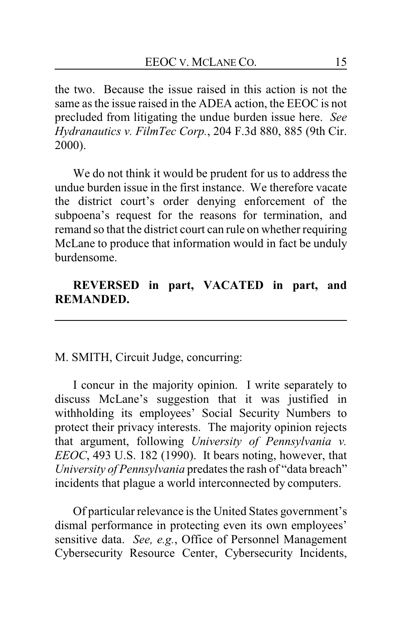the two. Because the issue raised in this action is not the same as the issue raised in the ADEA action, the EEOC is not precluded from litigating the undue burden issue here. *See Hydranautics v. FilmTec Corp.*, 204 F.3d 880, 885 (9th Cir. 2000).

We do not think it would be prudent for us to address the undue burden issue in the first instance. We therefore vacate the district court's order denying enforcement of the subpoena's request for the reasons for termination, and remand so that the district court can rule on whether requiring McLane to produce that information would in fact be unduly burdensome.

# **REVERSED in part, VACATED in part, and REMANDED.**

### M. SMITH, Circuit Judge, concurring:

I concur in the majority opinion. I write separately to discuss McLane's suggestion that it was justified in withholding its employees' Social Security Numbers to protect their privacy interests. The majority opinion rejects that argument, following *University of Pennsylvania v. EEOC*, 493 U.S. 182 (1990). It bears noting, however, that *University of Pennsylvania* predates the rash of "data breach" incidents that plague a world interconnected by computers.

Of particular relevance is the United States government's dismal performance in protecting even its own employees' sensitive data. *See, e.g.*, Office of Personnel Management Cybersecurity Resource Center, Cybersecurity Incidents,